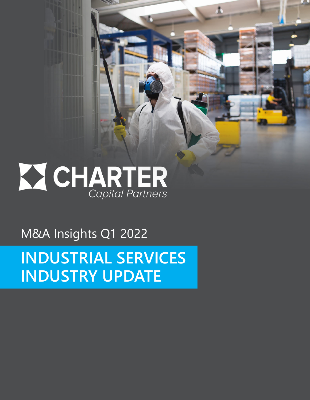# **X CHARTER**<br>Capital Partners

Æ

M&A Insights Q1 2022

**INDUSTRIAL SERVICES INDUSTRY UPDATE**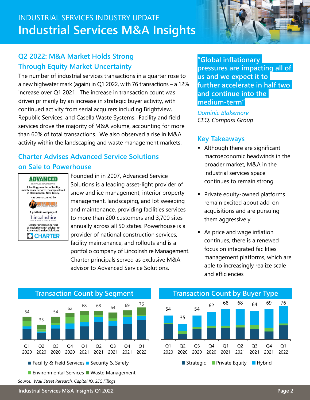# INDUSTRIAL SERVICES INDUSTRY UPDATE **Industrial Services M&A Insights**

#### **Q2 2022: M&A Market Holds Strong Through Equity Market Uncertainty**

The number of industrial services transactions in a quarter rose to a new highwater mark (again) in Q1 2022, with 76 transactions – a 12% increase over Q1 2021. The increase in transaction count was driven primarily by an increase in strategic buyer activity, with continued activity from serial acquirers including Brightview, Republic Services, and Casella Waste Systems. Facility and field services drove the majority of M&A volume, accounting for more than 60% of total transactions. We also observed a rise in M&A activity within the landscaping and waste management markets.

#### **Charter Advises Advanced Service Solutions on Sale to Powerhouse**



Founded in in 2007, Advanced Service Solutions is a leading asset-light provider of snow and ice management, interior property management, landscaping, and lot sweeping and maintenance, providing facilities services to more than 200 customers and 3,700 sites annually across all 50 states. Powerhouse is a provider of national construction services, facility maintenance, and rollouts and is a portfolio company of Lincolnshire Management. Charter principals served as exclusive M&A advisor to Advanced Service Solutions.

**"Global inflationary pressures are impacting all of us and we expect it to further accelerate in half two and continue into the medium-term"**

*Dominic Blakemore CEO, Compass Group*

#### **Key Takeaways**

- **Although there are significant** macroeconomic headwinds in the broader market, M&A in the industrial services space continues to remain strong
- **Private equity-owned platforms** remain excited about add-on acquisitions and are pursuing them aggressively
- As price and wage inflation continues, there is a renewed focus on integrated facilities management platforms, which are able to increasingly realize scale and efficiencies



**Environmental Services Waste Management** 

*Source: Wall Street Research, Capital IQ, SEC Filings*

#### 54 35 <sup>54</sup> <sup>62</sup> 68 68 <sup>64</sup> 69 76 Q1 2020 Q2 2020 Q3 2020 Q4 2020 Q1 2021 Q2 2021 Q3 2021 Q4 2021 Q1 2022 Strategic Private Equity Hybrid



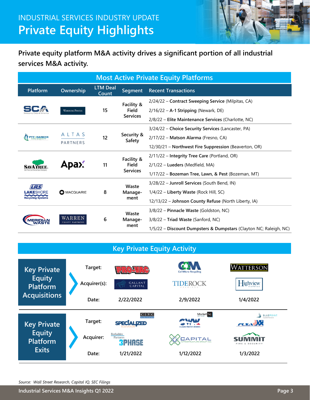

**Private equity platform M&A activity drives a significant portion of all industrial services M&A activity.**

| <b>Most Active Private Equity Platforms</b> |                                  |                          |                      |                                                                   |  |
|---------------------------------------------|----------------------------------|--------------------------|----------------------|-------------------------------------------------------------------|--|
| <b>Platform</b>                             | Ownership                        | <b>LTM Deal</b><br>Count | <b>Segment</b>       | <b>Recent Transactions</b>                                        |  |
|                                             |                                  |                          | Facility &           | 2/24/22 - Contract Sweeping Service (Milpitas, CA)                |  |
|                                             | <b>WARBURG PINCUS</b>            | 15                       | Field                | $2/16/22 - A-1$ Stripping (Newark, DE)                            |  |
|                                             |                                  |                          | <b>Services</b>      | 2/8/22 - Elite Maintenance Services (Charlotte, NC)               |  |
|                                             |                                  |                          |                      | 3/24/22 - Choice Security Services (Lancaster, PA)                |  |
| <b>PYE</b> · BARKER                         | ALTAS                            | 12                       | Security &<br>Safety | 2/17/22 - Matson Alarma (Fresno, CA)                              |  |
|                                             | <b>PARTNERS</b>                  |                          |                      | 12/30/21 - Northwest Fire Suppression (Beaverton, OR)             |  |
|                                             |                                  |                          | Facility &           | 2/11/22 - Integrity Tree Care (Portland, OR)                      |  |
|                                             | Apax.                            | 11                       | <b>Field</b>         | 2/1/22 - Lueders (Medfield, MA)                                   |  |
|                                             |                                  |                          | <b>Services</b>      | 1/17/22 - Bozeman Tree, Lawn, & Pest (Bozeman, MT)                |  |
| 4725                                        |                                  |                          | Waste                | 3/28/22 - Junroll Services (South Bend, IN)                       |  |
| KESHORF                                     | <b>O</b> MACQUARIE               | 8                        | Manage-              | 1/4/22 – Liberty Waste (Rock Hill, SC)                            |  |
| <b>lecycling Systems</b>                    |                                  |                          | ment                 | 12/13/22 - Johnson County Refuse (North Liberty, IA)              |  |
|                                             |                                  |                          | Waste                | 3/8/22 - Pinnacle Waste (Goldston, NC)                            |  |
|                                             | WARREN<br><b>EQUITY PARTNERS</b> | 6                        | Manage-              | 3/8/22 - Triad Waste (Sanford, NC)                                |  |
|                                             |                                  |                          | ment                 | 1/5/22 - Discount Dumpsters & Dumpstars (Clayton NC; Raleigh, NC) |  |

**Key Private Equity Activity**

| <b>Key Private</b>                                      |  | Target:      |                                        | <b>Cal Micro Recycling</b>                      | WATTERSON                                       |
|---------------------------------------------------------|--|--------------|----------------------------------------|-------------------------------------------------|-------------------------------------------------|
| <b>Equity</b><br><b>Platform</b><br><b>Acquisitions</b> |  | Acquirer(s): | GALLANT<br>CAPITAL                     | <b>TIDEROCK</b><br><b>CLDINGS</b>               | $\prod$ ighview                                 |
|                                                         |  | Date:        | 2/22/2022                              | 2/9/2022                                        | 1/4/2022                                        |
|                                                         |  |              |                                        |                                                 |                                                 |
| <b>Key Private</b>                                      |  | Target:      | C I V C<br><b>SPECÍALIZED</b>          | Market Sq.<br>PLAAM<br><b>CLEAN WATER WORKS</b> | <b>BLUEPOINT</b><br>Capital Partners<br>FLSADER |
| <b>Equity</b><br><b>Platform</b><br><b>Exits</b>        |  | Acquirer:    | Berkshire<br>Partners<br><b>RPHAGE</b> | <b>CAPITAL</b>                                  | FIRE & SECURITY                                 |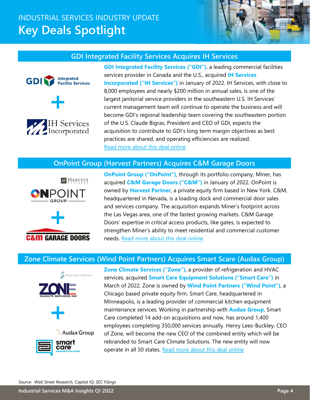# INDUSTRIAL SERVICES INDUSTRY UPDATE **Key Deals Spotlight**



#### **GDI Integrated Facility Services Acquires IH Services**





**GDI Integrated Facility Services ("GDI")**, a leading commercial facilities services provider in Canada and the U.S., acquired **IH Services Incorporated ("IH Services")** in January of 2022. IH Services, with close to 8,000 employees and nearly \$200 million in annual sales, is one of the largest janitorial service providers in the southeastern U.S. IH Services' current management team will continue to operate the business and will become GDI's regional leadership team covering the southeastern portion of the U.S. Claude Bigras, President and CEO of GDI, expects the acquisition to contribute to GDI's long term margin objectives as best practices are shared, and operating efficiencies are realized. Read more a[bout this deal online](https://www.prnewswire.com/news-releases/gdi-integrated-facility-services-inc-announces-acquisition-of-ih-services-inc-301453677.html)

#### **OnPoint Group (Harvest Partners) Acquires C&M Garage Doors**



**OnPoint Group ("OnPoint")**, through its portfolio company, Miner, has acquired **C&M Garage Doors ("C&M")** in January of 2022. OnPoint is owned by **Harvest Partner**, a private equity firm based in New York. C&M, headquartered in Nevada, is a loading dock and commercial door sales and services company. The acquisition expands Miner's footprint across the Las Vegas area, one of the fastest growing markets. C&M Garage Doors' expertise in critical access products, like gates, is expected to strengthen Miner's ability to meet residential and commercial customer needs. [Read more about this deal online](https://www.businesswire.com/news/home/20220118005908/en/Miner-Limited-an-OnPoint-Group-Company-Acquires-CM-Garage-Doors)

#### **Zone Climate Services (Wind Point Partners) Acquires Smart Scare (Audax Group)**



WIND POINT PARTNERS



care

**Zone Climate Services ("Zone")**, a provider of refrigeration and HVAC services, acquired **Smart Care Equipment Solutions ("Smart Care")** in March of 2022. Zone is owned by **Wind Point Partners ("Wind Point")**, a Chicago based private equity firm. Smart Care, headquartered in Minneapolis, is a leading provider of commercial kitchen equipment maintenance services. Working in partnership with **Audax Group**, Smart Care completed 14 add-on acquisitions and now, has around 1,400 employees completing 350,000 services annually. Henry Lees-Buckley, CEO of Zone, will become the new CEO of the combined entity which will be rebranded to Smart Care Climate Solutions. The new entity will now operate in all 50 states[. Read more about this deal online](https://smartcaresolutions.com/zone-climate-services-acquires-smart-care-equipment-solutions/)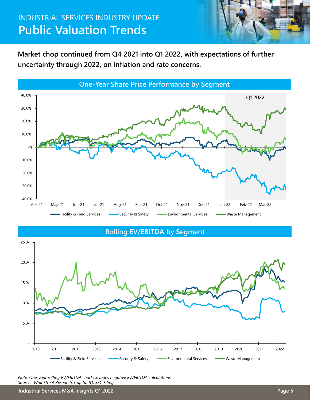# INDUSTRIAL SERVICES INDUSTRY UPDATE **Public Valuation Trends**



**Market chop continued from Q4 2021 into Q1 2022, with expectations of further uncertainty through 2022, on inflation and rate concerns.**



**Rolling EV/EBITDA by Segment**



*Note: One-year rolling EV/EBITDA chart excludes negative EV/EBITDA calculations Source: Wall Street Research, Capital IQ, SEC Filings*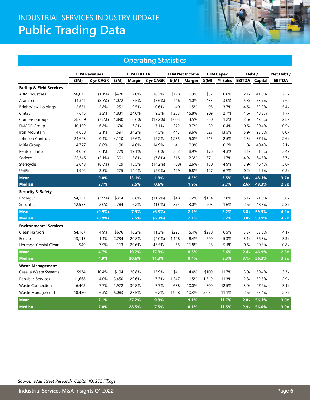# INDUSTRIAL SERVICES INDUSTRY UPDATE **Public Trading Data**



#### **Operating Statistics**

|                                      | <b>LTM Revenues</b> |           |       | <b>LTM EBITDA</b> |                  |         | <b>LTM Net Income</b> | <b>LTM Capex</b> |         | Debt / |                       | Net Debt /    |
|--------------------------------------|---------------------|-----------|-------|-------------------|------------------|---------|-----------------------|------------------|---------|--------|-----------------------|---------------|
|                                      | \$(M)               | 3 yr CAGR | \$(M) |                   | Margin 3 yr CAGR | $$$ (M) | Margin                | $$$ (M)          | % Sales |        | <b>EBITDA</b> Capital | <b>EBITDA</b> |
| <b>Facility &amp; Field Services</b> |                     |           |       |                   |                  |         |                       |                  |         |        |                       |               |
| <b>ABM Industries</b>                | \$6,672             | $(1.1\%)$ | \$470 | 7.0%              | 16.2%            | \$128   | 1.9%                  | \$37             | 0.6%    | 2.1x   | 41.0%                 | 2.5x          |
| Aramark                              | 14,341              | (8.5%)    | 1,072 | 7.5%              | $(8.6\%)$        | 146     | 1.0%                  | 433              | 3.0%    | 5.3x   | 73.7%                 | 7.6x          |
| <b>BrightView Holdings</b>           | 2,651               | 2.8%      | 251   | 9.5%              | 0.6%             | 40      | 1.5%                  | 98               | 3.7%    | 4.6x   | 52.0%                 | 5.4x          |
| Cintas                               | 7,615               | 3.2%      | 1,831 | 24.0%             | 9.3%             | 1,203   | 15.8%                 | 209              | 2.7%    | 1.6x   | 48.3%                 | 1.7x          |
| Compass Group                        | 28,659              | (7.8%)    | 1,890 | 6.6%              | (12.2%)          | 1,003   | 3.5%                  | 350              | 1.2%    | 2.6x   | 42.8%                 | 2.8x          |
| <b>EMCOR Group</b>                   | 10,192              | 6.8%      | 630   | 6.2%              | 7.1%             | 372     | 3.7%                  | 39               | 0.4%    | 0.6x   | 20.4%                 | 0.9x          |
| Iron Mountain                        | 4,658               | 2.1%      | 1,591 | 34.2%             | 4.5%             | 447     | 9.6%                  | 627              | 13.5%   | 5.9x   | 93.8%                 | 8.0x          |
| Johnson Controls                     | 24,693              | 0.4%      | 4,110 | 16.6%             | 12.2%            | 1,235   | 5.0%                  | 615              | 2.5%    | 2.3x   | 37.7%                 | 2.6x          |
| Mitie Group                          | 4,777               | 8.0%      | 190   | 4.0%              | 14.9%            | 41      | 0.9%                  | 11               | 0.2%    | 1.8x   | 40.4%                 | 2.1x          |
| Rentokil Initial                     | 4,067               | 6.1%      | 779   | 19.1%             | 6.0%             | 362     | 8.9%                  | 176              | 4.3%    | 3.1x   | 61.0%                 | 3.4x          |
| Sodexo                               | 22,346              | $(5.1\%)$ | 1,301 | 5.8%              | $(7.8\%)$        | 518     | 2.3%                  | 371              | 1.7%    | 4.9x   | 64.5%                 | 5.7x          |
| Stericycle                           | 2,643               | (8.8%)    | 409   | 15.5%             | (14.2%)          | (68)    | $(2.6\%)$             | 130              | 4.9%    | 3.9x   | 46.4%                 | 5.0x          |
| UniFirst                             | 1,902               | 2.5%      | 275   | 14.4%             | $(2.9\%)$        | 129     | 6.8%                  | 127              | 6.7%    | 0.2x   | 2.7%                  | 0.2x          |
| <b>Mean</b>                          |                     | 0.0%      |       | 13.1%             | 1.9%             |         | 4.5%                  |                  | 3.5%    | 3.0x   | 48.1%                 | 3.7x          |
| <b>Median</b>                        |                     | 2.1%      |       | 7.5%              | 0.6%             |         | 1.9%                  |                  | 2.7%    | 2.6x   | 48.3%                 | 2.8x          |
| <b>Security &amp; Safety</b>         |                     |           |       |                   |                  |         |                       |                  |         |        |                       |               |
| Prosegur                             | \$4,137             | (3.9%)    | \$364 | 8.8%              | (11.7%)          | \$48    | 1.2%                  | \$114            | 2.8%    | 5.1x   | 71.5%                 | 5.6x          |
| Securitas                            | 12,557              | 2.0%      | 784   | 6.2%              | $(1.0\%)$        | 374     | 3.0%                  | 203              | 1.6%    | 2.6x   | 48.3%                 | 2.8x          |
| <b>Mean</b>                          |                     | $(0.9\%)$ |       | 7.5%              | (6.3%)           |         | 2.1%                  |                  | 2.2%    | 3.8x   | 59.9%                 | 4.2x          |
| <b>Median</b>                        |                     | $(0.9\%)$ |       | 7.5%              | (6.3%)           |         | 2.1%                  |                  | 2.2%    | 3.8x   | 59.9%                 | 4.2x          |
| <b>Environmental Services</b>        |                     |           |       |                   |                  |         |                       |                  |         |        |                       |               |
| Clean Harbors                        | \$4,167             | 4.9%      | \$676 | 16.2%             | 11.3%            | \$227   | 5.4%                  | \$270            | 6.5%    | 3.3x   | 63.5%                 | 4.1x          |
| Ecolab                               | 13,115              | 1.4%      | 2,734 | 20.8%             | $(4.0\%)$        | 1,108   | 8.4%                  | 690              | 5.3%    | 3.1x   | 56.3%                 | 3.3x          |
| Heritage-Crystal Clean               | 549                 | 7.9%      | 113   | 20.6%             | 46.5%            | 65      | 11.8%                 | 28               | 5.1%    | 0.6x   | 20.8%                 | 0.8x          |
| <b>Mean</b>                          |                     | 4.7%      |       | 19.2%             | 17.9%            |         | 8.6%                  |                  | 5.6%    | 2.4x   | 46.9%                 | 2.8x          |
| <b>Median</b>                        |                     | 4.9%      |       | 20.6%             | 11.3%            |         | 8.4%                  |                  | 5.3%    | 3.1x   | 56.3%                 | 3.3x          |
| <b>Waste Management</b>              |                     |           |       |                   |                  |         |                       |                  |         |        |                       |               |
| Casella Waste Systems                | \$934               | 10.4%     | \$194 | 20.8%             | 15.9%            | \$41    | 4.4%                  | \$109            | 11.7%   | 3.0x   | 59.4%                 | 3.3x          |
| Republic Services                    | 11,668              | 4.0%      | 3,450 | 29.6%             | 7.3%             | 1,347   | 11.5%                 | 1,319            | 11.3%   | 2.8x   | 52.5%                 | 2.9x          |
| <b>Waste Connections</b>             | 6,402               | 7.7%      | 1,972 | 30.8%             | 7.7%             | 638     | 10.0%                 | 800              | 12.5%   | 3.0x   | 47.2%                 | 3.1x          |
| Waste Management                     | 18,480              | 6.3%      | 5,083 | 27.5%             | 6.2%             | 1,908   | 10.3%                 | 2,052            | 11.1%   | 2.6x   | 65.4%                 | 2.7x          |
| <b>Mean</b>                          |                     | 7.1%      |       | 27.2%             | 9.3%             |         | 9.1%                  |                  | 11.7%   | 2.8x   | 56.1%                 | 3.0x          |
| <b>Median</b>                        |                     | 7.0%      |       | 28.5%             | 7.5%             |         | 10.1%                 |                  | 11.5%   | 2.9x   | 56.0%                 | 3.0x          |

*Source: Wall Street Research, Capital IQ, SEC Filings*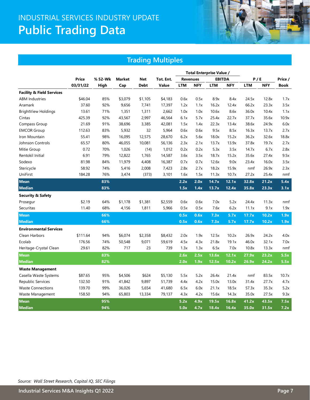# INDUSTRIAL SERVICES INDUSTRY UPDATE **Public Trading Data**



#### **Trading Multiples**

|                                      |          |         |         |             |           | <b>Total Enterprise Value /</b> |                 |            |               |            |            |         |
|--------------------------------------|----------|---------|---------|-------------|-----------|---------------------------------|-----------------|------------|---------------|------------|------------|---------|
|                                      | Price    | % 52-Wk | Market  | <b>Net</b>  | Tot. Ent. |                                 | <b>Revenues</b> |            | <b>EBITDA</b> | P / E      |            | Price / |
|                                      | 03/31/22 | High    | Cap     | <b>Debt</b> | Value     | <b>LTM</b>                      | <b>NFY</b>      | <b>LTM</b> | <b>NFY</b>    | <b>LTM</b> | <b>NFY</b> | Book    |
| <b>Facility &amp; Field Services</b> |          |         |         |             |           |                                 |                 |            |               |            |            |         |
| <b>ABM Industries</b>                | \$46.04  | 85%     | \$3,079 | \$1,105     | \$4,183   | 0.6x                            | 0.5x            | 8.9x       | 8.4x          | 24.5x      | 12.8x      | 1.7x    |
| Aramark                              | 37.60    | 92%     | 9,656   | 7,741       | 17,397    | 1.2x                            | 1.1x            | 16.2x      | 12.4x         | 66.2x      | 23.3x      | 3.5x    |
| <b>BrightView Holdings</b>           | 13.61    | 71%     | 1,351   | 1,311       | 2,662     | 1.0x                            | 1.0x            | 10.6x      | 8.6x          | 36.0x      | 10.4x      | 1.1x    |
| Cintas                               | 425.39   | 92%     | 43,567  | 2,997       | 46,564    | 6.1x                            | 5.7x            | 25.4x      | 22.7x         | 37.7x      | 35.6x      | 10.9x   |
| Compass Group                        | 21.69    | 91%     | 38,696  | 3,385       | 42,081    | 1.5x                            | 1.4x            | 22.3x      | 13.4x         | 38.6x      | 24.9x      | 6.0x    |
| <b>EMCOR Group</b>                   | 112.63   | 83%     | 5,932   | 32          | 5,964     | 0.6x                            | 0.6x            | 9.5x       | 8.5x          | 16.3x      | 13.7x      | 2.7x    |
| Iron Mountain                        | 55.41    | 98%     | 16,095  | 12,575      | 28,670    | 6.2x                            | 5.6x            | 18.0x      | 15.2x         | 36.2x      | 32.6x      | 18.8x   |
| Johnson Controls                     | 65.57    | 80%     | 46,055  | 10,081      | 56,136    | 2.3x                            | 2.1x            | 13.7x      | 13.9x         | 37.8x      | 19.7x      | 2.7x    |
| Mitie Group                          | 0.72     | 70%     | 1,026   | (14)        | 1,012     | 0.2x                            | 0.2x            | 5.3x       | 3.5x          | 14.7x      | 6.7x       | 2.8x    |
| Rentokil Initial                     | 6.91     | 79%     | 12,822  | 1,765       | 14,587    | 3.6x                            | 3.5x            | 18.7x      | 15.2x         | 35.6x      | 27.4x      | 9.5x    |
| Sodexo                               | 81.98    | 84%     | 11,979  | 4,408       | 16,387    | 0.7x                            | 0.7x            | 12.6x      | 9.0x          | 23.4x      | 16.0x      | 3.5x    |
| Stericycle                           | 58.92    | 74%     | 5,416   | 2,008       | 7,423     | 2.8x                            | 2.7x            | 18.2x      | 15.9x         | nmf        | 26.9x      | 2.3x    |
| UniFirst                             | 184.28   | 76%     | 3,474   | (373)       | 3,101     | 1.6x                            | 1.5x            | 11.3x      | 10.7x         | 27.2x      | 25.4x      | nmf     |
| <b>Mean</b>                          |          | 83%     |         |             |           | 2.2x                            | 2.0x            | 14.7x      | 12.1x         | 32.8x      | 21.2x      | 5.4x    |
| <b>Median</b>                        |          | 83%     |         |             |           | 1.5x                            | 1.4x            | 13.7x      | 12.4x         | 35.8x      | 23.3x      | 3.1x    |
| <b>Security &amp; Safety</b>         |          |         |         |             |           |                                 |                 |            |               |            |            |         |
| Prosegur                             | \$2.19   | 64%     | \$1,178 | \$1,381     | \$2,559   | 0.6x                            | 0.6x            | 7.0x       | 5.2x          | 24.4x      | 11.3x      | nmf     |
| Securitas                            | 11.40    | 68%     | 4,156   | 1,811       | 5,966     | 0.5x                            | 0.5x            | 7.6x       | 6.2x          | 11.1x      | 9.1x       | 1.9x    |
| <b>Mean</b>                          |          | 66%     |         |             |           | 0.5x                            | 0.6x            | 7.3x       | 5.7x          | 17.7x      | 10.2x      | 1.9x    |
| <b>Median</b>                        |          | 66%     |         |             |           | 0.5x                            | 0.6x            | 7.3x       | 5.7x          | 17.7x      | 10.2x      | 1.9x    |
| <b>Environmental Services</b>        |          |         |         |             |           |                                 |                 |            |               |            |            |         |
| Clean Harbors                        | \$111.64 | 94%     | \$6,074 | \$2,358     | \$8,432   | 2.0x                            | 1.9x            | 12.5x      | 10.2x         | 26.9x      | 24.2x      | 4.0x    |
| Ecolab                               | 176.56   | 74%     | 50,548  | 9,071       | 59,619    | 4.5x                            | 4.3x            | 21.8x      | 19.1x         | 46.0x      | 32.1x      | 7.0x    |
| Heritage-Crystal Clean               | 29.61    | 82%     | 717     | 23          | 739       | 1.3x                            | 1.3x            | 6.5x       | 7.0x          | 10.8x      | 13.3x      | nmf     |
| <b>Mean</b>                          |          | 83%     |         |             |           | 2.6x                            | 2.5x            | 13.6x      | 12.1x         | 27.9x      | 23.2x      | 5.5x    |
| <b>Median</b>                        |          | 82%     |         |             |           | 2.0x                            | 1.9x            | 12.5x      | 10.2x         | 26.9x      | 24.2x      | 5.5x    |
| <b>Waste Management</b>              |          |         |         |             |           |                                 |                 |            |               |            |            |         |
| Casella Waste Systems                | \$87.65  | 95%     | \$4,506 | \$624       | \$5,130   | 5.5x                            | 5.2x            | 26.4x      | 21.4x         | nmf        | 83.5x      | 10.7x   |
| Republic Services                    | 132.50   | 91%     | 41,842  | 9,897       | 51,739    | 4.4x                            | 4.2x            | 15.0x      | 13.0x         | 31.4x      | 27.7x      | 4.7x    |
| <b>Waste Connections</b>             | 139.70   | 99%     | 36,026  | 5,654       | 41,680    | 6.5x                            | 6.0x            | 21.1x      | 18.5x         | 57.3x      | 35.3x      | 5.2x    |
| Waste Management                     | 158.50   | 94%     | 65,803  | 13,334      | 79,137    | 4.3x                            | 4.2x            | 15.6x      | 14.3x         | 35.0x      | 27.5x      | 9.3x    |
| <b>Mean</b>                          |          | 95%     |         |             |           | 5.2x                            | 4.9x            | 19.5x      | 16.8x         | 41.2x      | 43.5x      | 7.5x    |
| <b>Median</b>                        |          | 94%     |         |             |           | 5.0x                            | 4.7x            | 18.4x      | 16.4x         | 35.0x      | 31.5x      | 7.2x    |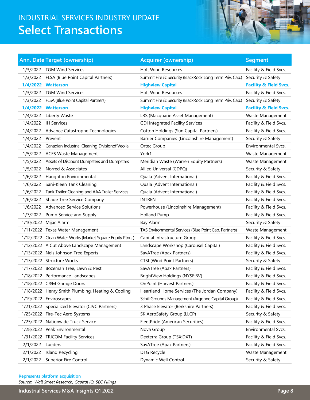# INDUSTRIAL SERVICES INDUSTRY UPDATE **Select Transactions**



|          | <b>Ann. Date Target (ownership)</b>                       | <b>Acquirer (ownership)</b>                             | <b>Segment</b>                    |
|----------|-----------------------------------------------------------|---------------------------------------------------------|-----------------------------------|
| 1/3/2022 | <b>TGM Wind Services</b>                                  | <b>Holt Wind Resources</b>                              | Facility & Field Svcs.            |
|          | 1/3/2022 FLSA (Blue Point Capital Partners)               | Summit Fire & Security (BlackRock Long Term Priv. Cap.) | Security & Safety                 |
|          | 1/4/2022 Watterson                                        | <b>Highview Capital</b>                                 | <b>Facility &amp; Field Svcs.</b> |
|          | 1/3/2022 TGM Wind Services                                | <b>Holt Wind Resources</b>                              | Facility & Field Svcs.            |
|          | 1/3/2022 FLSA (Blue Point Capital Partners)               | Summit Fire & Security (BlackRock Long Term Priv. Cap.) | Security & Safety                 |
|          | 1/4/2022 Watterson                                        | <b>Highview Capital</b>                                 | <b>Facility &amp; Field Svcs.</b> |
| 1/4/2022 | Liberty Waste                                             | LRS (Macquarie Asset Management)                        | Waste Management                  |
|          | 1/4/2022 IH Services                                      | <b>GDI Integrated Facility Services</b>                 | Facility & Field Svcs.            |
|          | 1/4/2022 Advance Catastrophe Technologies                 | Cotton Holdings (Sun Capital Partners)                  | Facility & Field Svcs.            |
| 1/4/2022 | Prevent                                                   | Barrier Companies (Lincolnshire Management)             | Security & Safety                 |
|          | 1/4/2022 Canadian Industrial Cleaning Divisionof Veolia   | Ortec Group                                             | <b>Environmental Sycs.</b>        |
|          | 1/5/2022 ACES Waste Management                            | York1                                                   | Waste Management                  |
|          | 1/5/2022 Assets of Discount Dumpsters and Dumpstars       | Meridian Waste (Warren Equity Partners)                 | Waste Management                  |
| 1/5/2022 | Norred & Associates                                       | Allied Universal (CDPQ)                                 | Security & Safety                 |
| 1/6/2022 | Haughton Environmental                                    | Quala (Advent International)                            | Facility & Field Svcs.            |
| 1/6/2022 | Sani-Kleen Tank Cleaning                                  | Quala (Advent International)                            | Facility & Field Svcs.            |
| 1/6/2022 | Tank Trailer Cleaning and AAA Trailer Services            | Quala (Advent International)                            | Facility & Field Svcs.            |
| 1/6/2022 | Shade Tree Service Company                                | <b>INTREN</b>                                           | Facility & Field Svcs.            |
|          | 1/6/2022 Advanced Service Solutions                       | Powerhouse (Lincolnshire Management)                    | Facility & Field Svcs.            |
| 1/7/2022 | Pump Service and Supply                                   | <b>Holland Pump</b>                                     | Facility & Field Svcs.            |
|          | 1/10/2022 Mijac Alarm                                     | Bay Alarm                                               | Security & Safety                 |
|          | 1/11/2022 Texas Water Management                          | TAS Environmental Services (Blue Point Cap. Partners)   | Waste Management                  |
|          | 1/12/2022 Clean Water Works (Market Square Equity Ptnrs.) | Capital Infrastructure Group                            | Facility & Field Svcs.            |
|          | 1/12/2022 A Cut Above Landscape Management                | Landscape Workshop (Carousel Capital)                   | Facility & Field Svcs.            |
|          | 1/13/2022 Nels Johnson Tree Experts                       | SavATree (Apax Partners)                                | Facility & Field Svcs.            |
|          | 1/13/2022 Structure Works                                 | CTSI (Wind Point Partners)                              | Security & Safety                 |
|          | 1/17/2022 Bozeman Tree, Lawn & Pest                       | SavATree (Apax Partners)                                | Facility & Field Svcs.            |
|          | 1/18/2022 Performance Landscapes                          | BrightView Holdings (NYSE:BV)                           | Facility & Field Svcs.            |
|          | 1/18/2022 C&M Garage Doors                                | <b>OnPoint (Harvest Partners)</b>                       | Facility & Field Svcs.            |
|          | 1/18/2022 Henry Smith Plumbing, Heating & Cooling         | Heartland Home Services (The Jordan Company)            | Facility & Field Svcs.            |
|          | 1/19/2022 Enviroscapes                                    | Schill Grounds Management (Argonne Capital Group)       | Facility & Field Svcs.            |
|          | 1/21/2022 Specialized Elevator (CIVC Partners)            | 3 Phase Elevator (Berkshire Partners)                   | Facility & Field Svcs.            |
|          | 1/25/2022 Fire-Tec Aero Systems                           | SK AeroSafety Group (LLCP)                              | Security & Safety                 |
|          | 1/25/2022 Nationwide Truck Service                        | FleetPride (American Securities)                        | Facility & Field Svcs.            |
|          | 1/28/2022 Peak Environmental                              | Nova Group                                              | Environmental Svcs.               |
|          | 1/31/2022 TRICOM Facility Services                        | Dexterra Group (TSX:DXT)                                | Facility & Field Svcs.            |
| 2/1/2022 | Lueders                                                   | SavATree (Apax Partners)                                | Facility & Field Svcs.            |
| 2/1/2022 | Island Recycling                                          | DTG Recycle                                             | Waste Management                  |
| 2/1/2022 | <b>Superior Fire Control</b>                              | Dynamic Well Control                                    | Security & Safety                 |

#### **Represents platform acquisition**

*Source: Wall Street Research, Capital IQ, SEC Filings*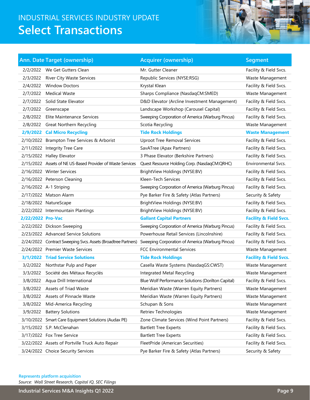# INDUSTRIAL SERVICES INDUSTRY UPDATE **Select Transactions**



|                   | Ann. Date Target (ownership)                                  | <b>Acquirer (ownership)</b>                        | <b>Segment</b>                    |
|-------------------|---------------------------------------------------------------|----------------------------------------------------|-----------------------------------|
|                   | 2/2/2022 We Get Gutters Clean                                 | Mr. Gutter Cleaner                                 | Facility & Field Svcs.            |
|                   | 2/3/2022 River City Waste Services                            | Republic Services (NYSE:RSG)                       | Waste Management                  |
|                   | 2/4/2022 Window Doctors                                       | Krystal Klean                                      | Facility & Field Svcs.            |
|                   | 2/7/2022 Medical Waste                                        | Sharps Compliance (NasdaqCM:SMED)                  | Waste Management                  |
|                   | 2/7/2022 Solid State Elevator                                 | D&D Elevator (Arcline Investment Management)       | Facility & Field Svcs.            |
|                   | 2/7/2022 Greenscape                                           | Landscape Workshop (Carousel Capital)              | Facility & Field Svcs.            |
|                   | 2/8/2022 Elite Maintenance Services                           | Sweeping Corporation of America (Warburg Pincus)   | Facility & Field Svcs.            |
|                   | 2/8/2022 Great Northern Recycling                             | Scotia Recycling                                   | Waste Management                  |
|                   | 2/9/2022 Cal Micro Recycling                                  | <b>Tide Rock Holdings</b>                          | <b>Waste Management</b>           |
|                   | 2/10/2022 Brampton Tree Services & Arborist                   | <b>Uproot Tree Removal Services</b>                | Facility & Field Svcs.            |
|                   | 2/11/2022 Integrity Tree Care                                 | SavATree (Apax Partners)                           | Facility & Field Svcs.            |
|                   | 2/15/2022 Halley Elevator                                     | 3 Phase Elevator (Berkshire Partners)              | Facility & Field Svcs.            |
|                   | 2/15/2022 Assets of NE US-Based Provider of Waste Services    | Quest Resource Holding Corp. (NasdaqCM:QRHC)       | Environmental Svcs.               |
|                   | 2/16/2022 Winter Services                                     | BrightView Holdings (NYSE:BV)                      | Facility & Field Svcs.            |
|                   | 2/16/2022 Peterson Cleaning                                   | Kleen-Tech Services                                | Facility & Field Svcs.            |
|                   | 2/16/2022 A-1 Striping                                        | Sweeping Corporation of America (Warburg Pincus)   | Facility & Field Svcs.            |
|                   | 2/17/2022 Matson Alarm                                        | Pye Barker Fire & Safety (Atlas Partners)          | Security & Safety                 |
|                   | 2/18/2022 NatureScape                                         | BrightView Holdings (NYSE:BV)                      | Facility & Field Svcs.            |
|                   | 2/22/2022 Intermountain Plantings                             | BrightView Holdings (NYSE:BV)                      | Facility & Field Svcs.            |
| 2/22/2022 Pro-Vac |                                                               | <b>Gallant Capital Partners</b>                    | <b>Facility &amp; Field Svcs.</b> |
|                   | 2/22/2022 Dickson Sweeping                                    | Sweeping Corporation of America (Warburg Pincus)   | Facility & Field Svcs.            |
|                   | 2/23/2022 Advanced Service Solutions                          | Powerhouse Retail Services (Lincolnshire)          | Facility & Field Svcs.            |
|                   | 2/24/2022 Contract Sweeping Svcs. Assets (Broadtree Partners) | Sweeping Corporation of America (Warburg Pincus)   | Facility & Field Svcs.            |
|                   | 2/24/2022 Premier Waste Services                              | <b>FCC Environmental Services</b>                  | Waste Management                  |
|                   | 3/1/2022 Triad Service Solutions                              | <b>Tide Rock Holdings</b>                          | <b>Facility &amp; Field Svcs.</b> |
|                   | 3/2/2022 Northstar Pulp and Paper                             | Casella Waste Systems (NasdaqGS:CWST)              | Waste Management                  |
|                   | 3/3/2022 Société des Métaux Recyclés                          | Integrated Metal Recycling                         | Waste Management                  |
|                   | 3/8/2022 Agua Drill International                             | Blue Wolf Performance Solutions (Dorilton Capital) | Facility & Field Svcs.            |
|                   | 3/8/2022 Assets of Triad Waste                                | Meridian Waste (Warren Equity Partners)            | Waste Management                  |
| 3/8/2022          | Assets of Pinnacle Waste                                      | Meridian Waste (Warren Equity Partners)            | Waste Management                  |
| 3/8/2022          | Mid-America Recycling                                         | Schupan & Sons                                     | Waste Management                  |
| 3/9/2022          | <b>Battery Solutions</b>                                      | Retriev Technologies                               | Waste Management                  |
|                   | 3/10/2022 Smart Care Equipment Solutions (Audax PE)           | Zone Climate Services (Wind Point Partners)        | Facility & Field Svcs.            |
|                   | 3/15/2022 S.P. McClenahan                                     | <b>Bartlett Tree Experts</b>                       | Facility & Field Svcs.            |
|                   | 3/17/2022 Fox Tree Service                                    | <b>Bartlett Tree Experts</b>                       | Facility & Field Svcs.            |
|                   | 3/22/2022 Assets of Portville Truck Auto Repair               | FleetPride (American Securities)                   | Facility & Field Svcs.            |
|                   | 3/24/2022 Choice Security Services                            | Pye Barker Fire & Safety (Atlas Partners)          | Security & Safety                 |

*Source: Wall Street Research, Capital IQ, SEC Filings* **Represents platform acquisition**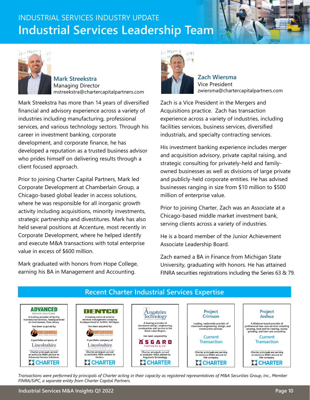# INDUSTRIAL SERVICES INDUSTRY UPDATE **Industrial Services Leadership Team**



**Mark Streekstra** Managing Director mstreekstra@chartercapitalpartners.com

Mark Streekstra has more than 14 years of diversified financial and advisory experience across a variety of industries including manufacturing, professional services, and various technology sectors. Through his career in investment banking, corporate development, and corporate finance, he has developed a reputation as a trusted business advisor who prides himself on delivering results through a client focused approach.

Prior to joining Charter Capital Partners, Mark led Corporate Development at Chamberlain Group, a Chicago-based global leader in access solutions, where he was responsible for all inorganic growth activity including acquisitions, minority investments, strategic partnership and divestitures. Mark has also held several positions at Accenture, most recently in Corporate Development, where he helped identify and execute M&A transactions with total enterprise value in excess of \$600 million.

Mark graduated with honors from Hope College, earning his BA in Management and Accounting.



**Zach Wiersma** Vice President zwiersma@chartercapitalpartners.com

Zach is a Vice President in the Mergers and Acquisitions practice. Zach has transaction experience across a variety of industries, including facilities services, business services, diversified industrials, and specialty contracting services.

His investment banking experience includes merger and acquisition advisory, private capital raising, and strategic consulting for privately-held and familyowned businesses as well as divisions of large private and publicly-held corporate entities. He has advised businesses ranging in size from \$10 million to \$500 million of enterprise value.

Prior to joining Charter, Zach was an Associate at a Chicago-based middle market investment bank, serving clients across a variety of industries.

He is a board member of the Junior Achievement Associate Leadership Board.

Zach earned a BA in Finance from Michigan State University, graduating with honors. He has attained FINRA securities registrations including the Series 63 & 79.



*Transactions were performed by principals of Charter acting in their capacity as registered representatives of M&A Securities Group, Inc., Member FINRA/SiPC, a separate entity from Charter Capital Partners.*